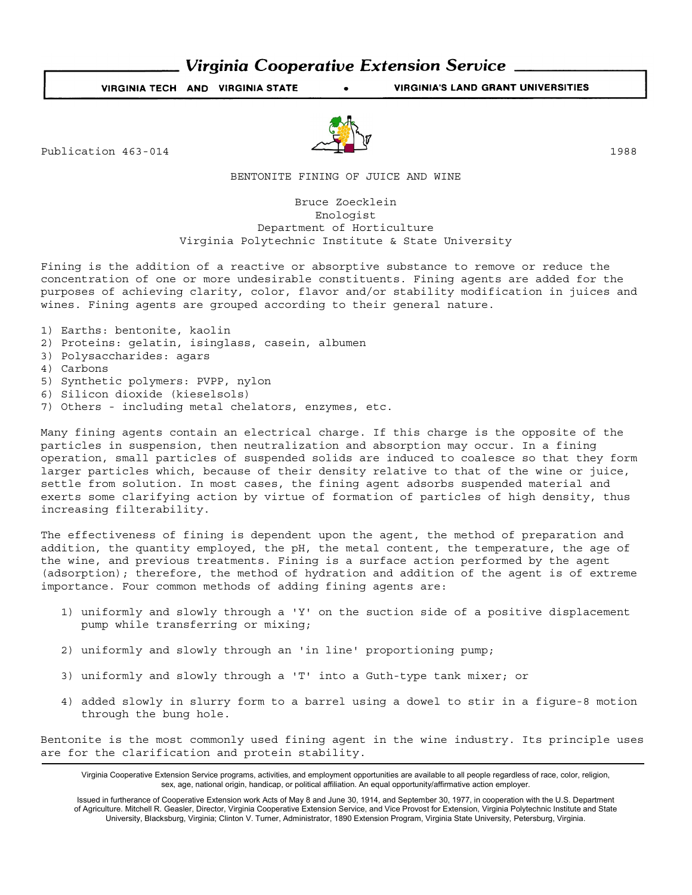# **Virginia Cooperative Extension Service.**

VIRGINIA TECH AND VIRGINIA STATE VIRGINIA'S LAND GRANT UNIVERSITIES

Publication  $463-014$  1988

BENTONITE FINING OF JUICE AND WINE

Bruce Zoecklein Enologist Department of Horticulture Virginia Polytechnic Institute & State University

Fining is the addition of a reactive or absorptive substance to remove or reduce the concentration of one or more undesirable constituents. Fining agents are added for the purposes of achieving clarity, color, flavor and/or stability modification in juices and wines. Fining agents are grouped according to their general nature.

- 1) Earths: bentonite, kaolin
- 2) Proteins: gelatin, isinglass, casein, albumen
- 3) Polysaccharides: agars
- 4) Carbons
- 5) Synthetic polymers: PVPP, nylon
- 6) Silicon dioxide (kieselsols)
- 7) Others including metal chelators, enzymes, etc.

Many fining agents contain an electrical charge. If this charge is the opposite of the particles in suspension, then neutralization and absorption may occur. In a fining operation, small particles of suspended solids are induced to coalesce so that they form larger particles which, because of their density relative to that of the wine or juice, settle from solution. In most cases, the fining agent adsorbs suspended material and exerts some clarifying action by virtue of formation of particles of high density, thus increasing filterability.

The effectiveness of fining is dependent upon the agent, the method of preparation and addition, the quantity employed, the pH, the metal content, the temperature, the age of the wine, and previous treatments. Fining is a surface action performed by the agent (adsorption); therefore, the method of hydration and addition of the agent is of extreme importance. Four common methods of adding fining agents are:

- 1) uniformly and slowly through a 'Y' on the suction side of a positive displacement pump while transferring or mixing;
- 2) uniformly and slowly through an 'in line' proportioning pump;
- 3) uniformly and slowly through a 'T' into a Guth-type tank mixer; or
- 4) added slowly in slurry form to a barrel using a dowel to stir in a figure-8 motion through the bung hole.

Bentonite is the most commonly used fining agent in the wine industry. Its principle uses are for the clarification and protein stability.

Virginia Cooperative Extension Service programs, activities, and employment opportunities are available to all people regardless of race, color, religion, sex, age, national origin, handicap, or political affiliation. An equal opportunity/affirmative action employer.

Issued in furtherance of Cooperative Extension work Acts of May 8 and June 30, 1914, and September 30, 1977, in cooperation with the U.S. Department of Agriculture. Mitchell R. Geasler, Director, Virginia Cooperative Extension Service, and Vice Provost for Extension, Virginia Polytechnic Institute and State University, Blacksburg, Virginia; Clinton V. Turner, Administrator, 1890 Extension Program, Virginia State University, Petersburg, Virginia.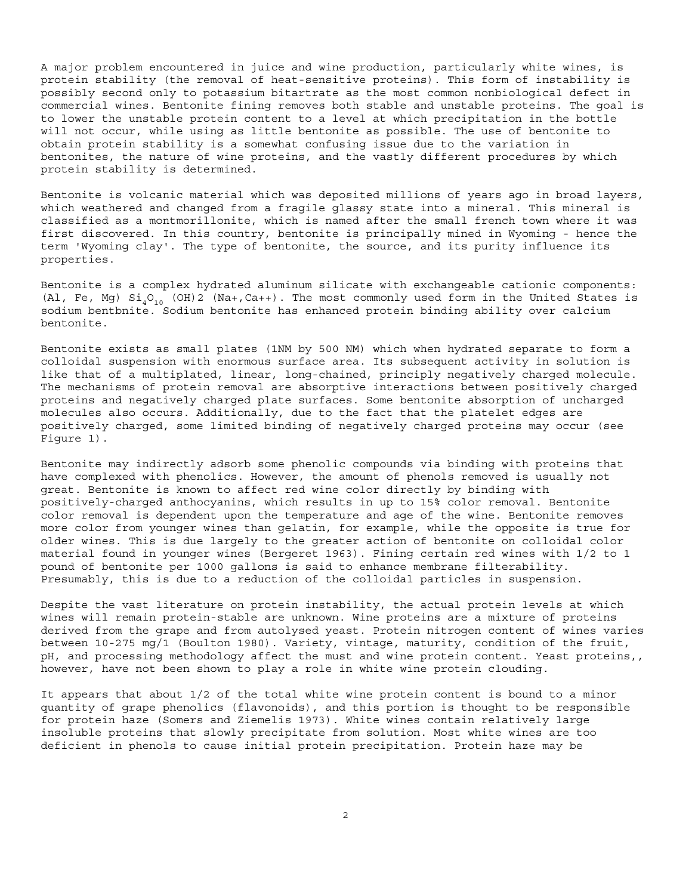A major problem encountered in juice and wine production, particularly white wines, is protein stability (the removal of heat-sensitive proteins). This form of instability is possibly second only to potassium bitartrate as the most common nonbiological defect in commercial wines. Bentonite fining removes both stable and unstable proteins. The goal is to lower the unstable protein content to a level at which precipitation in the bottle will not occur, while using as little bentonite as possible. The use of bentonite to obtain protein stability is a somewhat confusing issue due to the variation in bentonites, the nature of wine proteins, and the vastly different procedures by which protein stability is determined.

Bentonite is volcanic material which was deposited millions of years ago in broad layers, which weathered and changed from a fragile glassy state into a mineral. This mineral is classified as a montmorillonite, which is named after the small french town where it was first discovered. In this country, bentonite is principally mined in Wyoming - hence the term 'Wyoming clay'. The type of bentonite, the source, and its purity influence its properties.

Bentonite is a complex hydrated aluminum silicate with exchangeable cationic components: (Al, Fe, Mg)  $Si_4O_{10}$  (OH)2 (Na+,Ca++). The most commonly used form in the United States is sodium bentbnite. Sodium bentonite has enhanced protein binding ability over calcium bentonite.

Bentonite exists as small plates (1NM by 500 NM) which when hydrated separate to form a colloidal suspension with enormous surface area. Its subsequent activity in solution is like that of a multiplated, linear, long-chained, principly negatively charged molecule. The mechanisms of protein removal are absorptive interactions between positively charged proteins and negatively charged plate surfaces. Some bentonite absorption of uncharged molecules also occurs. Additionally, due to the fact that the platelet edges are positively charged, some limited binding of negatively charged proteins may occur (see Figure 1).

Bentonite may indirectly adsorb some phenolic compounds via binding with proteins that have complexed with phenolics. However, the amount of phenols removed is usually not great. Bentonite is known to affect red wine color directly by binding with positively-charged anthocyanins, which results in up to 15% color removal. Bentonite color removal is dependent upon the temperature and age of the wine. Bentonite removes more color from younger wines than gelatin, for example, while the opposite is true for older wines. This is due largely to the greater action of bentonite on colloidal color material found in younger wines (Bergeret 1963). Fining certain red wines with 1/2 to 1 pound of bentonite per 1000 gallons is said to enhance membrane filterability. Presumably, this is due to a reduction of the colloidal particles in suspension.

Despite the vast literature on protein instability, the actual protein levels at which wines will remain protein-stable are unknown. Wine proteins are a mixture of proteins derived from the grape and from autolysed yeast. Protein nitrogen content of wines varies between 10-275 mg/1 (Boulton 1980). Variety, vintage, maturity, condition of the fruit, pH, and processing methodology affect the must and wine protein content. Yeast proteins,, however, have not been shown to play a role in white wine protein clouding.

It appears that about  $1/2$  of the total white wine protein content is bound to a minor quantity of grape phenolics (flavonoids), and this portion is thought to be responsible for protein haze (Somers and Ziemelis 1973). White wines contain relatively large insoluble proteins that slowly precipitate from solution. Most white wines are too deficient in phenols to cause initial protein precipitation. Protein haze may be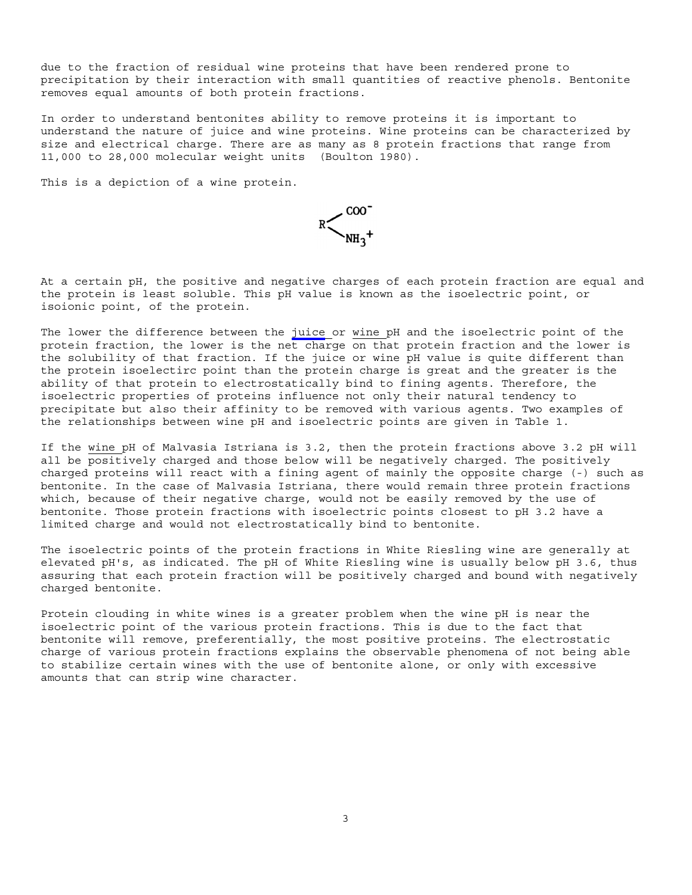due to the fraction of residual wine proteins that have been rendered prone to precipitation by their interaction with small quantities of reactive phenols. Bentonite removes equal amounts of both protein fractions.

In order to understand bentonites ability to remove proteins it is important to understand the nature of juice and wine proteins. Wine proteins can be characterized by size and electrical charge. There are as many as 8 protein fractions that range from 11,000 to 28,000 molecular weight units (Boulton 1980).

This is a depiction of a wine protein.



At a certain pH, the positive and negative charges of each protein fraction are equal and the protein is least soluble. This pH value is known as the isoelectric point, or isoionic point, of the protein.

The lower the difference between the juice or wine pH and the isoelectric point of the protein fraction, the lower is the net charge on that protein fraction and the lower is the solubility of that fraction. If the juice or wine pH value is quite different than the protein isoelectirc point than the protein charge is great and the greater is the ability of that protein to electrostatically bind to fining agents. Therefore, the isoelectric properties of proteins influence not only their natural tendency to precipitate but also their affinity to be removed with various agents. Two examples of the relationships between wine pH and isoelectric points are given in Table 1.

If the wine pH of Malvasia Istriana is 3.2, then the protein fractions above 3.2 pH will all be positively charged and those below will be negatively charged. The positively charged proteins will react with a fining agent of mainly the opposite charge (-) such as bentonite. In the case of Malvasia Istriana, there would remain three protein fractions which, because of their negative charge, would not be easily removed by the use of bentonite. Those protein fractions with isoelectric points closest to pH 3.2 have a limited charge and would not electrostatically bind to bentonite.

The isoelectric points of the protein fractions in White Riesling wine are generally at elevated pH's, as indicated. The pH of White Riesling wine is usually below pH 3.6, thus assuring that each protein fraction will be positively charged and bound with negatively charged bentonite.

Protein clouding in white wines is a greater problem when the wine pH is near the isoelectric point of the various protein fractions. This is due to the fact that bentonite will remove, preferentially, the most positive proteins. The electrostatic charge of various protein fractions explains the observable phenomena of not being able to stabilize certain wines with the use of bentonite alone, or only with excessive amounts that can strip wine character.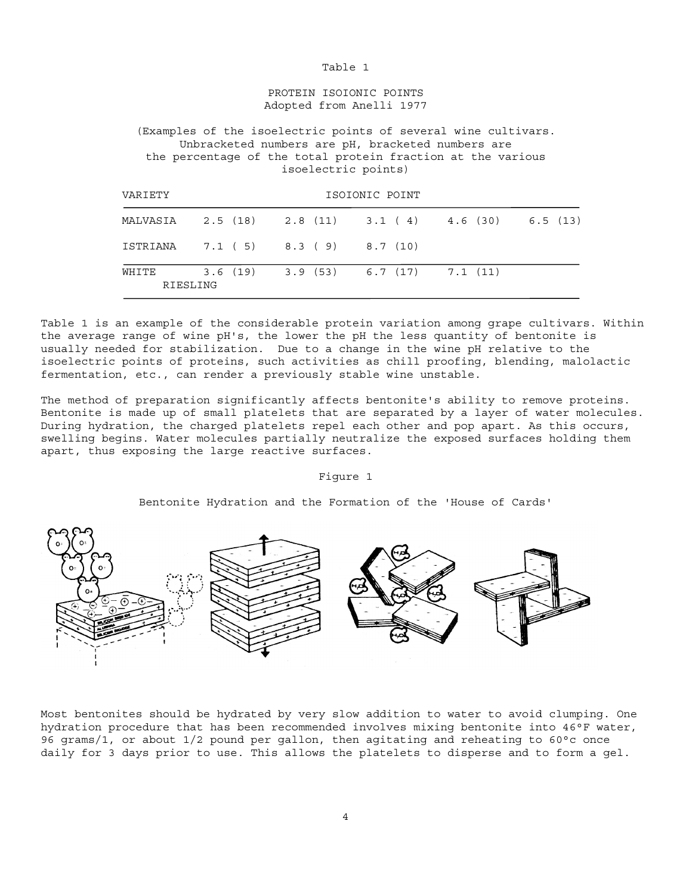### Table 1

## PROTEIN ISOIONIC POINTS Adopted from Anelli 1977

(Examples of the isoelectric points of several wine cultivars. Unbracketed numbers are pH, bracketed numbers are the percentage of the total protein fraction at the various isoelectric points)

| VARIETY           |                                         | ISOIONIC POINT |  |  |  |                                             |  |  |
|-------------------|-----------------------------------------|----------------|--|--|--|---------------------------------------------|--|--|
| MALVASIA          |                                         |                |  |  |  | 2.5 (18) 2.8 (11) 3.1 (4) 4.6 (30) 6.5 (13) |  |  |
| ISTRIANA          | $7.1(5)$ $8.3(9)$ $8.7(10)$             |                |  |  |  |                                             |  |  |
| WHITE<br>RIESLING | $3.6(19)$ $3.9(53)$ $6.7(17)$ $7.1(11)$ |                |  |  |  |                                             |  |  |

Table 1 is an example of the considerable protein variation among grape cultivars. Within the average range of wine pH's, the lower the pH the less quantity of bentonite is usually needed for stabilization. Due to a change in the wine pH relative to the isoelectric points of proteins, such activities as chill proofing, blending, malolactic fermentation, etc., can render a previously stable wine unstable.

The method of preparation significantly affects bentonite's ability to remove proteins. Bentonite is made up of small platelets that are separated by a layer of water molecules. During hydration, the charged platelets repel each other and pop apart. As this occurs, swelling begins. Water molecules partially neutralize the exposed surfaces holding them apart, thus exposing the large reactive surfaces.

### Figure 1

Bentonite Hydration and the Formation of the 'House of Cards'



Most bentonites should be hydrated by very slow addition to water to avoid clumping. One hydration procedure that has been recommended involves mixing bentonite into 46°F water, 96 grams/1, or about 1/2 pound per gallon, then agitating and reheating to 60°c once daily for 3 days prior to use. This allows the platelets to disperse and to form a gel.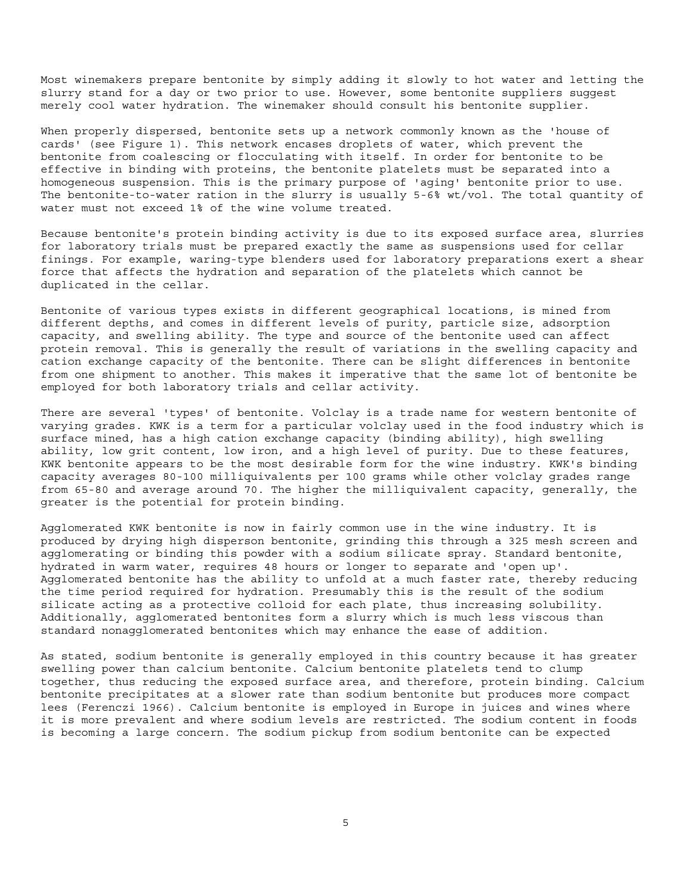Most winemakers prepare bentonite by simply adding it slowly to hot water and letting the slurry stand for a day or two prior to use. However, some bentonite suppliers suggest merely cool water hydration. The winemaker should consult his bentonite supplier.

When properly dispersed, bentonite sets up a network commonly known as the 'house of cards' (see Figure 1). This network encases droplets of water, which prevent the bentonite from coalescing or flocculating with itself. In order for bentonite to be effective in binding with proteins, the bentonite platelets must be separated into a homogeneous suspension. This is the primary purpose of 'aging' bentonite prior to use. The bentonite-to-water ration in the slurry is usually 5-6% wt/vol. The total quantity of water must not exceed 1% of the wine volume treated.

Because bentonite's protein binding activity is due to its exposed surface area, slurries for laboratory trials must be prepared exactly the same as suspensions used for cellar finings. For example, waring-type blenders used for laboratory preparations exert a shear force that affects the hydration and separation of the platelets which cannot be duplicated in the cellar.

Bentonite of various types exists in different geographical locations, is mined from different depths, and comes in different levels of purity, particle size, adsorption capacity, and swelling ability. The type and source of the bentonite used can affect protein removal. This is generally the result of variations in the swelling capacity and cation exchange capacity of the bentonite. There can be slight differences in bentonite from one shipment to another. This makes it imperative that the same lot of bentonite be employed for both laboratory trials and cellar activity.

There are several 'types' of bentonite. Volclay is a trade name for western bentonite of varying grades. KWK is a term for a particular volclay used in the food industry which is surface mined, has a high cation exchange capacity (binding ability), high swelling ability, low grit content, low iron, and a high level of purity. Due to these features, KWK bentonite appears to be the most desirable form for the wine industry. KWK's binding capacity averages 80-100 milliquivalents per 100 grams while other volclay grades range from 65-80 and average around 70. The higher the milliquivalent capacity, generally, the greater is the potential for protein binding.

Agglomerated KWK bentonite is now in fairly common use in the wine industry. It is produced by drying high disperson bentonite, grinding this through a 325 mesh screen and agglomerating or binding this powder with a sodium silicate spray. Standard bentonite, hydrated in warm water, requires 48 hours or longer to separate and 'open up'. Agglomerated bentonite has the ability to unfold at a much faster rate, thereby reducing the time period required for hydration. Presumably this is the result of the sodium silicate acting as a protective colloid for each plate, thus increasing solubility. Additionally, agglomerated bentonites form a slurry which is much less viscous than standard nonagglomerated bentonites which may enhance the ease of addition.

As stated, sodium bentonite is generally employed in this country because it has greater swelling power than calcium bentonite. Calcium bentonite platelets tend to clump together, thus reducing the exposed surface area, and therefore, protein binding. Calcium bentonite precipitates at a slower rate than sodium bentonite but produces more compact lees (Ferenczi 1966). Calcium bentonite is employed in Europe in juices and wines where it is more prevalent and where sodium levels are restricted. The sodium content in foods is becoming a large concern. The sodium pickup from sodium bentonite can be expected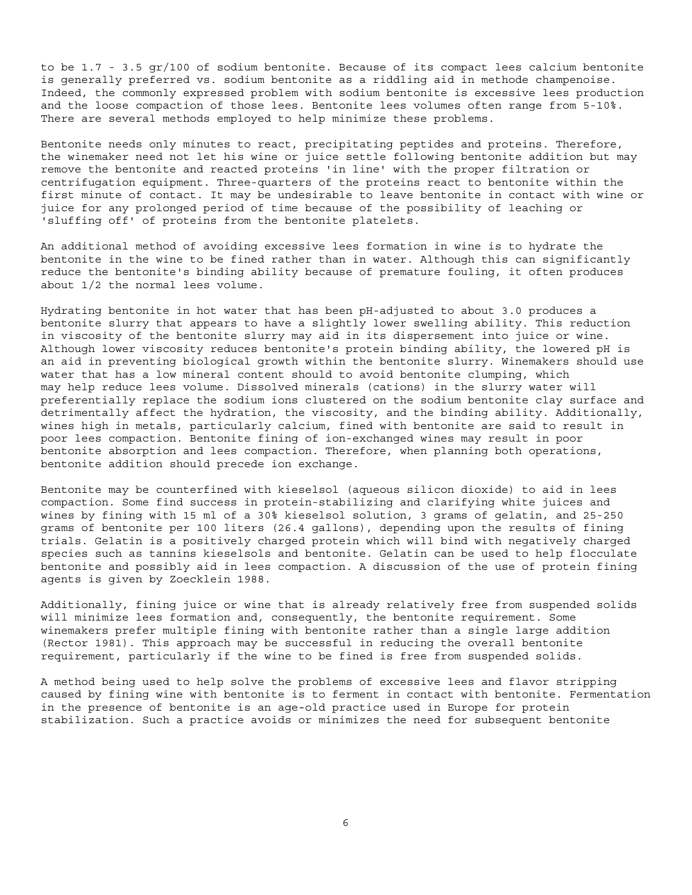to be 1.7 - 3.5 gr/100 of sodium bentonite. Because of its compact lees calcium bentonite is generally preferred vs. sodium bentonite as a riddling aid in methode champenoise. Indeed, the commonly expressed problem with sodium bentonite is excessive lees production and the loose compaction of those lees. Bentonite lees volumes often range from 5-10%. There are several methods employed to help minimize these problems.

Bentonite needs only minutes to react, precipitating peptides and proteins. Therefore, the winemaker need not let his wine or juice settle following bentonite addition but may remove the bentonite and reacted proteins 'in line' with the proper filtration or centrifugation equipment. Three-quarters of the proteins react to bentonite within the first minute of contact. It may be undesirable to leave bentonite in contact with wine or juice for any prolonged period of time because of the possibility of leaching or 'sluffing off' of proteins from the bentonite platelets.

An additional method of avoiding excessive lees formation in wine is to hydrate the bentonite in the wine to be fined rather than in water. Although this can significantly reduce the bentonite's binding ability because of premature fouling, it often produces about 1/2 the normal lees volume.

Hydrating bentonite in hot water that has been pH-adjusted to about 3.0 produces a bentonite slurry that appears to have a slightly lower swelling ability. This reduction in viscosity of the bentonite slurry may aid in its dispersement into juice or wine. Although lower viscosity reduces bentonite's protein binding ability, the lowered pH is an aid in preventing biological growth within the bentonite slurry. Winemakers should use water that has a low mineral content should to avoid bentonite clumping, which may help reduce lees volume. Dissolved minerals (cations) in the slurry water will preferentially replace the sodium ions clustered on the sodium bentonite clay surface and detrimentally affect the hydration, the viscosity, and the binding ability. Additionally, wines high in metals, particularly calcium, fined with bentonite are said to result in poor lees compaction. Bentonite fining of ion-exchanged wines may result in poor bentonite absorption and lees compaction. Therefore, when planning both operations, bentonite addition should precede ion exchange.

Bentonite may be counterfined with kieselsol (aqueous silicon dioxide) to aid in lees compaction. Some find success in protein-stabilizing and clarifying white juices and wines by fining with 15 ml of a 30% kieselsol solution, 3 grams of gelatin, and 25-250 grams of bentonite per 100 liters (26.4 gallons), depending upon the results of fining trials. Gelatin is a positively charged protein which will bind with negatively charged species such as tannins kieselsols and bentonite. Gelatin can be used to help flocculate bentonite and possibly aid in lees compaction. A discussion of the use of protein fining agents is given by Zoecklein 1988.

Additionally, fining juice or wine that is already relatively free from suspended solids will minimize lees formation and, consequently, the bentonite requirement. Some winemakers prefer multiple fining with bentonite rather than a single large addition (Rector 1981). This approach may be successful in reducing the overall bentonite requirement, particularly if the wine to be fined is free from suspended solids.

A method being used to help solve the problems of excessive lees and flavor stripping caused by fining wine with bentonite is to ferment in contact with bentonite. Fermentation in the presence of bentonite is an age-old practice used in Europe for protein stabilization. Such a practice avoids or minimizes the need for subsequent bentonite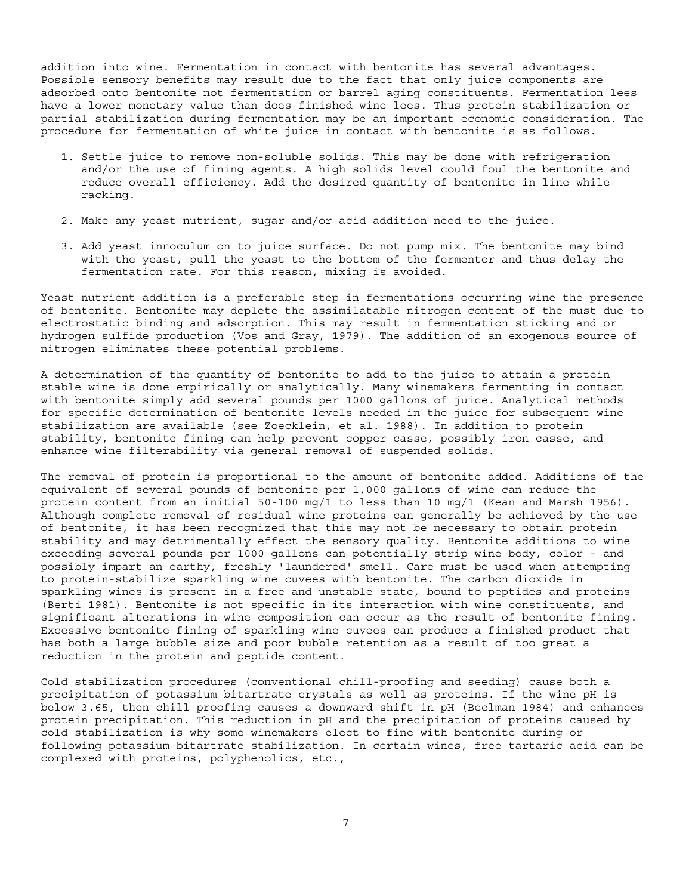addition into wine. Fermentation in contact with bentonite has several advantages. Possible sensory benefits may result due to the fact that only juice components are adsorbed onto bentonite not fermentation or barrel aging constituents. Fermentation lees have a lower monetary value than does finished wine lees. Thus protein stabilization or partial stabilization during fermentation may be an important economic consideration. The procedure for fermentation of white juice in contact with bentonite is as follows.

- 1. Settle juice to remove non-soluble solids. This may be done with refrigeration and/or the use of fining agents. A high solids level could foul the bentonite and reduce overall efficiency. Add the desired quantity of bentonite in line while racking.
- 2. Make any yeast nutrient, sugar and/or acid addition need to the juice.
- 3. Add yeast innoculum on to juice surface. Do not pump mix. The bentonite may bind with the yeast, pull the yeast to the bottom of the fermentor and thus delay the fermentation rate. For this reason, mixing is avoided.

Yeast nutrient addition is a preferable step in fermentations occurring wine the presence of bentonite. Bentonite may deplete the assimilatable nitrogen content of the must due to electrostatic binding and adsorption. This may result in fermentation sticking and or hydrogen sulfide production (Vos and Gray, 1979). The addition of an exogenous source of nitrogen eliminates these potential problems.

A determination of the quantity of bentonite to add to the juice to attain a protein stable wine is done empirically or analytically. Many winemakers fermenting in contact with bentonite simply add several pounds per 1000 gallons of juice. Analytical methods for specific determination of bentonite levels needed in the juice for subsequent wine stabilization are available (see Zoecklein, et al. 1988). In addition to protein stability, bentonite fining can help prevent copper casse, possibly iron casse, and enhance wine filterability via general removal of suspended solids.

The removal of protein is proportional to the amount of bentonite added. Additions of the equivalent of several pounds of bentonite per 1,000 gallons of wine can reduce the protein content from an initial 50-100 mg/1 to less than 10 mg/1 (Kean and Marsh 1956). Although complete removal of residual wine proteins can generally be achieved by the use of bentonite, it has been recognized that this may not be necessary to obtain protein stability and may detrimentally effect the sensory quality. Bentonite additions to wine exceeding several pounds per 1000 gallons can potentially strip wine body, color - and possibly impart an earthy, freshly 'laundered' smell. Care must be used when attempting to protein-stabilize sparkling wine cuvees with bentonite. The carbon dioxide in sparkling wines is present in a free and unstable state, bound to peptides and proteins (Berti 1981). Bentonite is not specific in its interaction with wine constituents, and significant alterations in wine composition can occur as the result of bentonite fining. Excessive bentonite fining of sparkling wine cuvees can produce a finished product that has both a large bubble size and poor bubble retention as a result of too great a reduction in the protein and peptide content.

Cold stabilization procedures (conventional chill-proofing and seeding) cause both a precipitation of potassium bitartrate crystals as well as proteins. If the wine pH is below 3.65, then chill proofing causes a downward shift in pH (Beelman 1984) and enhances protein precipitation. This reduction in pH and the precipitation of proteins caused by cold stabilization is why some winemakers elect to fine with bentonite during or following potassium bitartrate stabilization. In certain wines, free tartaric acid can be complexed with proteins, polyphenolics, etc.,